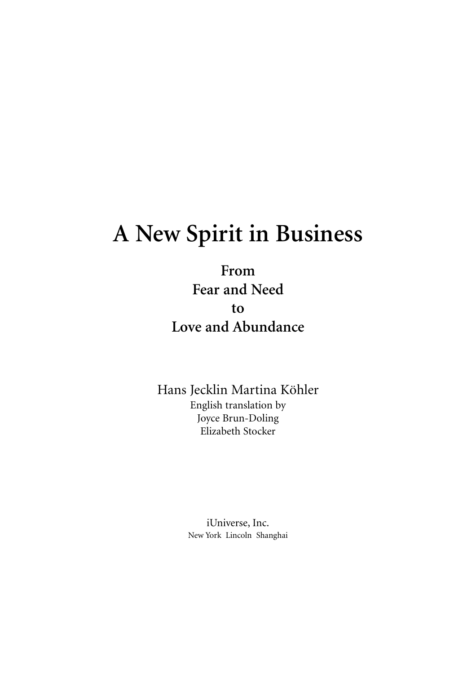# **A New Spirit in Business**

**From Fear and Need to Love and Abundance**

Hans Jecklin Martina Köhler English translation by Joyce Brun-Doling Elizabeth Stocker

> iUniverse, Inc. New York Lincoln Shanghai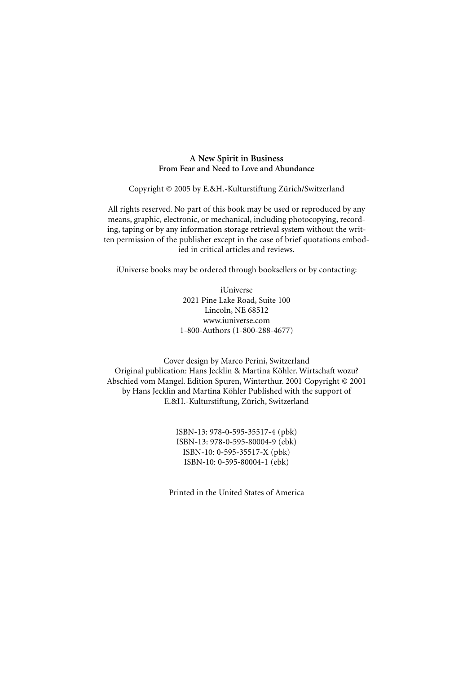#### **A New Spirit in Business From Fear and Need to Love and Abundance**

Copyright © 2005 by E.&H.-Kulturstiftung Zürich/Switzerland

All rights reserved. No part of this book may be used or reproduced by any means, graphic, electronic, or mechanical, including photocopying, recording, taping or by any information storage retrieval system without the written permission of the publisher except in the case of brief quotations embodied in critical articles and reviews.

iUniverse books may be ordered through booksellers or by contacting:

iUniverse 2021 Pine Lake Road, Suite 100 Lincoln, NE 68512 www.iuniverse.com 1-800-Authors (1-800-288-4677)

Cover design by Marco Perini, Switzerland Original publication: Hans Jecklin & Martina Köhler. Wirtschaft wozu? Abschied vom Mangel. Edition Spuren, Winterthur. 2001 Copyright © 2001 by Hans Jecklin and Martina Köhler Published with the support of E.&H.-Kulturstiftung, Zürich, Switzerland

> ISBN-13: 978-0-595-35517-4 (pbk) ISBN-13: 978-0-595-80004-9 (ebk) ISBN-10: 0-595-35517-X (pbk) ISBN-10: 0-595-80004-1 (ebk)

Printed in the United States of America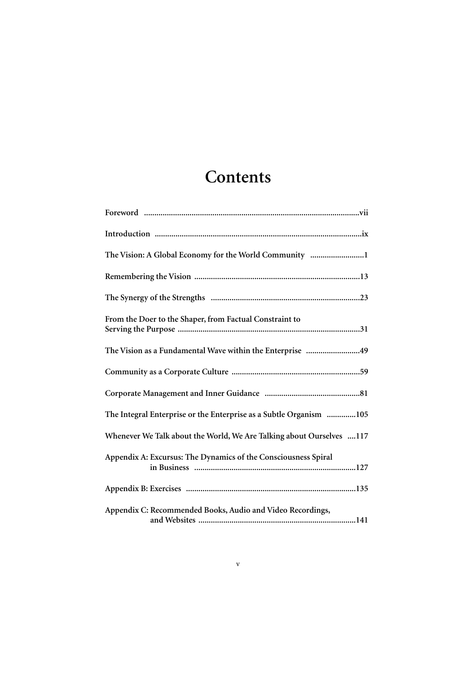## **Contents**

| The Vision: A Global Economy for the World Community 1               |
|----------------------------------------------------------------------|
|                                                                      |
|                                                                      |
| From the Doer to the Shaper, from Factual Constraint to              |
| The Vision as a Fundamental Wave within the Enterprise 49            |
|                                                                      |
|                                                                      |
| The Integral Enterprise or the Enterprise as a Subtle Organism 105   |
| Whenever We Talk about the World, We Are Talking about Ourselves 117 |
| Appendix A: Excursus: The Dynamics of the Consciousness Spiral       |
|                                                                      |
| Appendix C: Recommended Books, Audio and Video Recordings,           |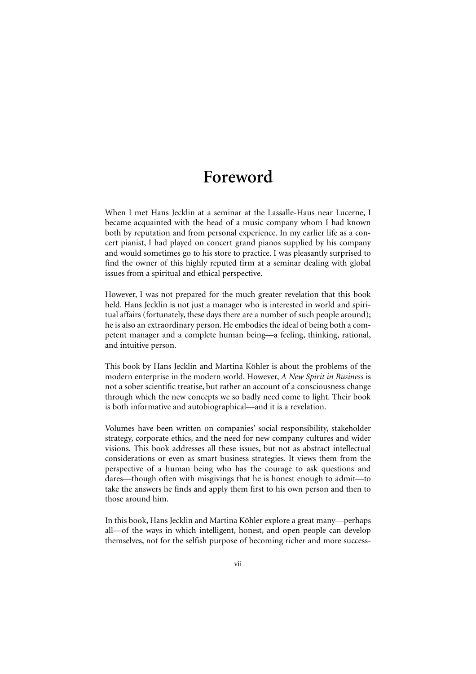### **Foreword**

When I met Hans Jecklin at a seminar at the Lassalle-Haus near Lucerne, I became acquainted with the head of a music company whom I had known both by reputation and from personal experience. In my earlier life as a concert pianist, I had played on concert grand pianos supplied by his company and would sometimes go to his store to practice. I was pleasantly surprised to find the owner of this highly reputed firm at a seminar dealing with global issues from a spiritual and ethical perspective.

However, I was not prepared for the much greater revelation that this book held. Hans Jecklin is not just a manager who is interested in world and spiritual affairs (fortunately, these days there are a number of such people around); he is also an extraordinary person. He embodies the ideal of being both a competent manager and a complete human being—a feeling, thinking, rational, and intuitive person.

This book by Hans Jecklin and Martina Köhler is about the problems of the modern enterprise in the modern world. However, *A New Spirit in Business* is not a sober scientific treatise, but rather an account of a consciousness change through which the new concepts we so badly need come to light. Their book is both informative and autobiographical—and it is a revelation.

Volumes have been written on companies' social responsibility, stakeholder strategy, corporate ethics, and the need for new company cultures and wider visions. This book addresses all these issues, but not as abstract intellectual considerations or even as smart business strategies. It views them from the perspective of a human being who has the courage to ask questions and dares—though often with misgivings that he is honest enough to admit—to take the answers he finds and apply them first to his own person and then to those around him.

In this book, Hans Jecklin and Martina Köhler explore a great many—perhaps all—of the ways in which intelligent, honest, and open people can develop themselves, not for the selfish purpose of becoming richer and more success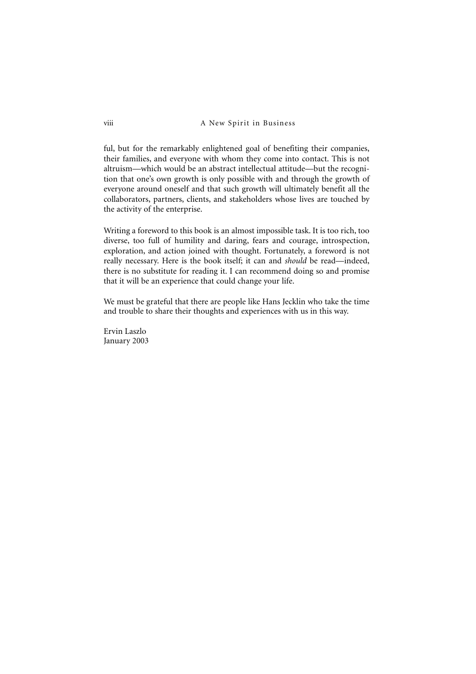ful, but for the remarkably enlightened goal of benefiting their companies, their families, and everyone with whom they come into contact. This is not altruism—which would be an abstract intellectual attitude—but the recognition that one's own growth is only possible with and through the growth of everyone around oneself and that such growth will ultimately benefit all the collaborators, partners, clients, and stakeholders whose lives are touched by the activity of the enterprise.

Writing a foreword to this book is an almost impossible task. It is too rich, too diverse, too full of humility and daring, fears and courage, introspection, exploration, and action joined with thought. Fortunately, a foreword is not really necessary. Here is the book itself; it can and *should* be read—indeed, there is no substitute for reading it. I can recommend doing so and promise that it will be an experience that could change your life.

We must be grateful that there are people like Hans Jecklin who take the time and trouble to share their thoughts and experiences with us in this way.

Ervin Laszlo January 2003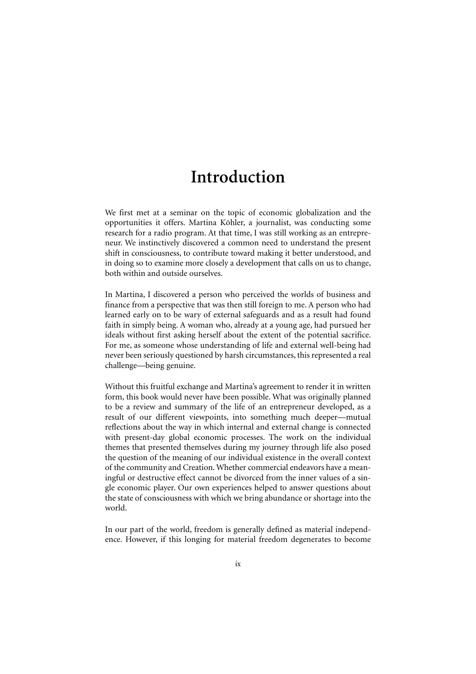### **Introduction**

We first met at a seminar on the topic of economic globalization and the opportunities it offers. Martina Köhler, a journalist, was conducting some research for a radio program. At that time, I was still working as an entrepreneur. We instinctively discovered a common need to understand the present shift in consciousness, to contribute toward making it better understood, and in doing so to examine more closely a development that calls on us to change, both within and outside ourselves.

In Martina, I discovered a person who perceived the worlds of business and finance from a perspective that was then still foreign to me. A person who had learned early on to be wary of external safeguards and as a result had found faith in simply being. A woman who, already at a young age, had pursued her ideals without first asking herself about the extent of the potential sacrifice. For me, as someone whose understanding of life and external well-being had never been seriously questioned by harsh circumstances, this represented a real challenge—being genuine.

Without this fruitful exchange and Martina's agreement to render it in written form, this book would never have been possible. What was originally planned to be a review and summary of the life of an entrepreneur developed, as a result of our different viewpoints, into something much deeper—mutual reflections about the way in which internal and external change is connected with present-day global economic processes. The work on the individual themes that presented themselves during my journey through life also posed the question of the meaning of our individual existence in the overall context of the community and Creation. Whether commercial endeavors have a meaningful or destructive effect cannot be divorced from the inner values of a single economic player. Our own experiences helped to answer questions about the state of consciousness with which we bring abundance or shortage into the world.

In our part of the world, freedom is generally defined as material independence. However, if this longing for material freedom degenerates to become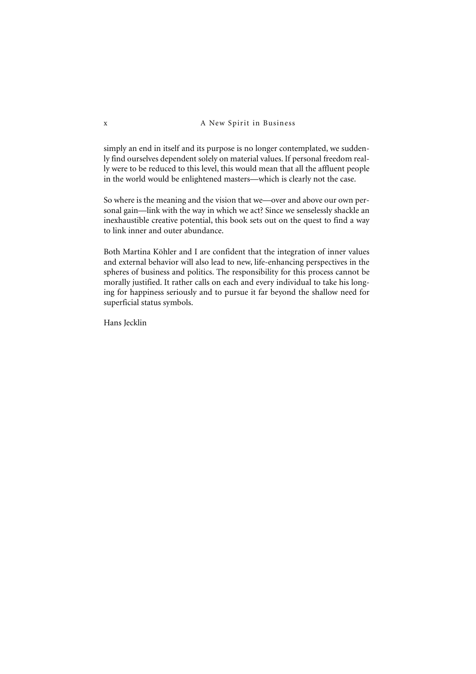simply an end in itself and its purpose is no longer contemplated, we suddenly find ourselves dependent solely on material values. If personal freedom really were to be reduced to this level, this would mean that all the affluent people in the world would be enlightened masters—which is clearly not the case.

So where is the meaning and the vision that we—over and above our own personal gain—link with the way in which we act? Since we senselessly shackle an inexhaustible creative potential, this book sets out on the quest to find a way to link inner and outer abundance.

Both Martina Köhler and I are confident that the integration of inner values and external behavior will also lead to new, life-enhancing perspectives in the spheres of business and politics. The responsibility for this process cannot be morally justified. It rather calls on each and every individual to take his longing for happiness seriously and to pursue it far beyond the shallow need for superficial status symbols.

Hans Jecklin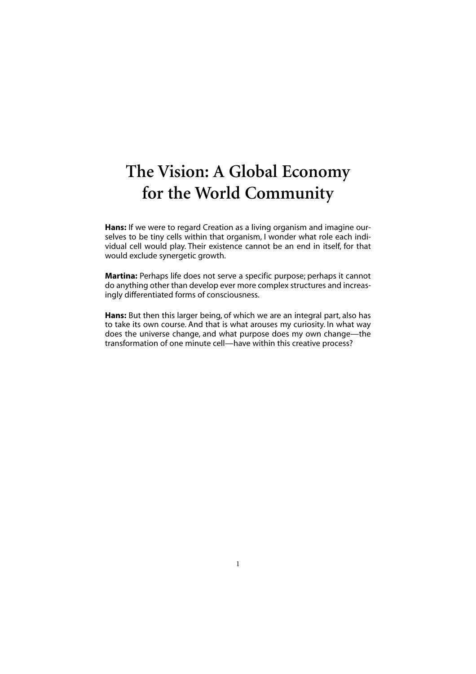## **The Vision: A Global Economy for the World Community**

**Hans:** If we were to regard Creation as a living organism and imagine ourselves to be tiny cells within that organism, I wonder what role each individual cell would play. Their existence cannot be an end in itself, for that would exclude synergetic growth.

**Martina:** Perhaps life does not serve a specific purpose; perhaps it cannot do anything other than develop ever more complex structures and increasingly differentiated forms of consciousness.

**Hans:** But then this larger being, of which we are an integral part, also has to take its own course. And that is what arouses my curiosity. In what way does the universe change, and what purpose does my own change—the transformation of one minute cell—have within this creative process?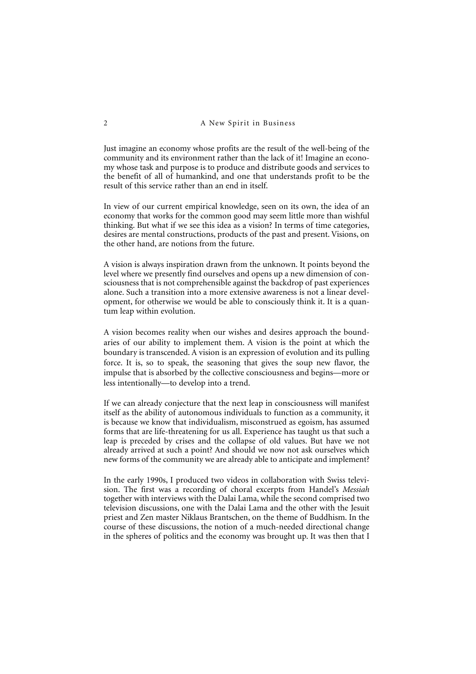Just imagine an economy whose profits are the result of the well-being of the community and its environment rather than the lack of it! Imagine an economy whose task and purpose is to produce and distribute goods and services to the benefit of all of humankind, and one that understands profit to be the result of this service rather than an end in itself.

In view of our current empirical knowledge, seen on its own, the idea of an economy that works for the common good may seem little more than wishful thinking. But what if we see this idea as a vision? In terms of time categories, desires are mental constructions, products of the past and present. Visions, on the other hand, are notions from the future.

A vision is always inspiration drawn from the unknown. It points beyond the level where we presently find ourselves and opens up a new dimension of consciousness that is not comprehensible against the backdrop of past experiences alone. Such a transition into a more extensive awareness is not a linear development, for otherwise we would be able to consciously think it. It is a quantum leap within evolution.

A vision becomes reality when our wishes and desires approach the boundaries of our ability to implement them. A vision is the point at which the boundary is transcended. A vision is an expression of evolution and its pulling force. It is, so to speak, the seasoning that gives the soup new flavor, the impulse that is absorbed by the collective consciousness and begins—more or less intentionally—to develop into a trend.

If we can already conjecture that the next leap in consciousness will manifest itself as the ability of autonomous individuals to function as a community, it is because we know that individualism, misconstrued as egoism, has assumed forms that are life-threatening for us all. Experience has taught us that such a leap is preceded by crises and the collapse of old values. But have we not already arrived at such a point? And should we now not ask ourselves which new forms of the community we are already able to anticipate and implement?

In the early 1990s, I produced two videos in collaboration with Swiss television. The first was a recording of choral excerpts from Handel's *Messiah* together with interviews with the Dalai Lama, while the second comprised two television discussions, one with the Dalai Lama and the other with the Jesuit priest and Zen master Niklaus Brantschen, on the theme of Buddhism. In the course of these discussions, the notion of a much-needed directional change in the spheres of politics and the economy was brought up. It was then that I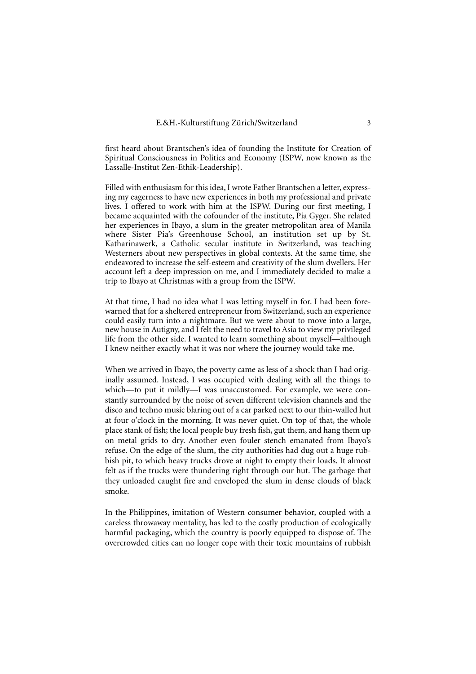first heard about Brantschen's idea of founding the Institute for Creation of Spiritual Consciousness in Politics and Economy (ISPW, now known as the Lassalle-Institut Zen-Ethik-Leadership).

Filled with enthusiasm for this idea, I wrote Father Brantschen a letter, expressing my eagerness to have new experiences in both my professional and private lives. I offered to work with him at the ISPW. During our first meeting, I became acquainted with the cofounder of the institute, Pia Gyger. She related her experiences in Ibayo, a slum in the greater metropolitan area of Manila where Sister Pia's Greenhouse School, an institution set up by St. Katharinawerk, a Catholic secular institute in Switzerland, was teaching Westerners about new perspectives in global contexts. At the same time, she endeavored to increase the self-esteem and creativity of the slum dwellers. Her account left a deep impression on me, and I immediately decided to make a trip to Ibayo at Christmas with a group from the ISPW.

At that time, I had no idea what I was letting myself in for. I had been forewarned that for a sheltered entrepreneur from Switzerland, such an experience could easily turn into a nightmare. But we were about to move into a large, new house in Autigny, and I felt the need to travel to Asia to view my privileged life from the other side. I wanted to learn something about myself—although I knew neither exactly what it was nor where the journey would take me.

When we arrived in Ibayo, the poverty came as less of a shock than I had originally assumed. Instead, I was occupied with dealing with all the things to which—to put it mildly—I was unaccustomed. For example, we were constantly surrounded by the noise of seven different television channels and the disco and techno music blaring out of a car parked next to our thin-walled hut at four o'clock in the morning. It was never quiet. On top of that, the whole place stank of fish; the local people buy fresh fish, gut them, and hang them up on metal grids to dry. Another even fouler stench emanated from Ibayo's refuse. On the edge of the slum, the city authorities had dug out a huge rubbish pit, to which heavy trucks drove at night to empty their loads. It almost felt as if the trucks were thundering right through our hut. The garbage that they unloaded caught fire and enveloped the slum in dense clouds of black smoke.

In the Philippines, imitation of Western consumer behavior, coupled with a careless throwaway mentality, has led to the costly production of ecologically harmful packaging, which the country is poorly equipped to dispose of. The overcrowded cities can no longer cope with their toxic mountains of rubbish